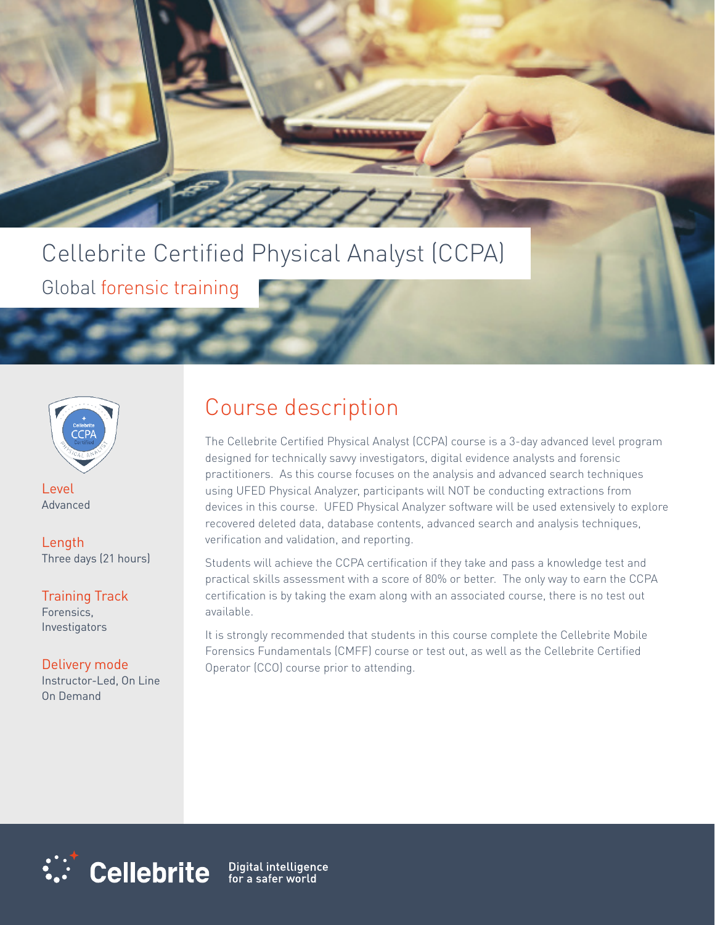# Cellebrite Certified Physical Analyst (CCPA)

Global forensic training



Level Advanced

Length Three days (21 hours)

Training Track Forensics, Investigators

Delivery mode Instructor-Led, On Line On Demand

### Course description

The Cellebrite Certified Physical Analyst (CCPA) course is a 3-day advanced level program designed for technically savvy investigators, digital evidence analysts and forensic practitioners. As this course focuses on the analysis and advanced search techniques using UFED Physical Analyzer, participants will NOT be conducting extractions from devices in this course. UFED Physical Analyzer software will be used extensively to explore recovered deleted data, database contents, advanced search and analysis techniques, verification and validation, and reporting.

Students will achieve the CCPA certification if they take and pass a knowledge test and practical skills assessment with a score of 80% or better. The only way to earn the CCPA certification is by taking the exam along with an associated course, there is no test out available.

It is strongly recommended that students in this course complete the Cellebrite Mobile Forensics Fundamentals (CMFF) course or test out, as well as the Cellebrite Certified Operator (CCO) course prior to attending.



Digital intelligence<br>for a safer world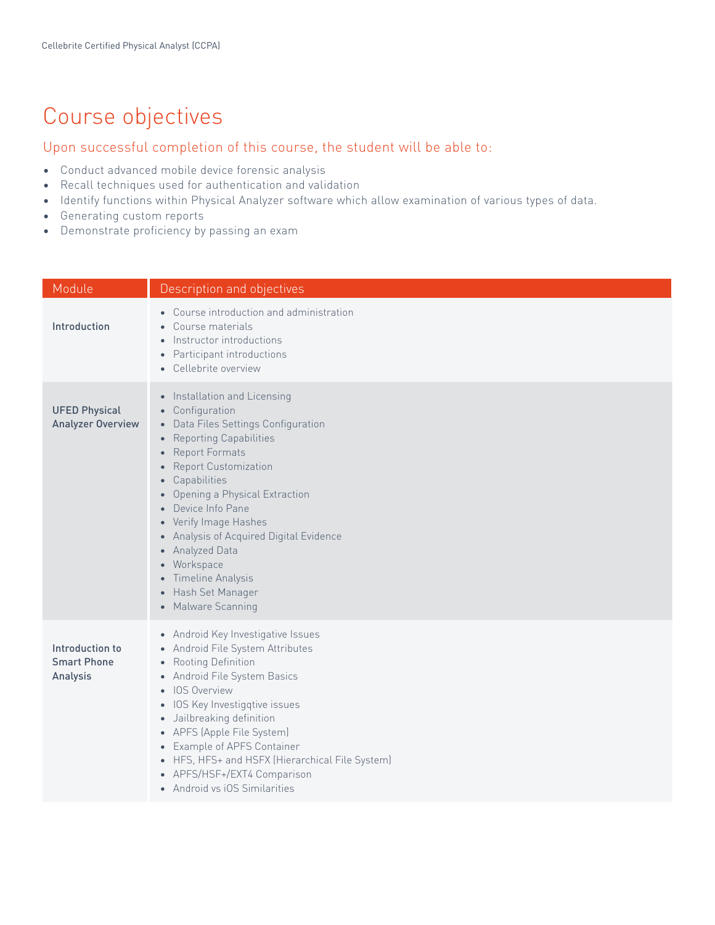## Course objectives

#### Upon successful completion of this course, the student will be able to:

- Conduct advanced mobile device forensic analysis
- Recall techniques used for authentication and validation
- Identify functions within Physical Analyzer software which allow examination of various types of data.
- Generating custom reports
- Demonstrate proficiency by passing an exam

| Module                                            | Description and objectives                                                                                                                                                                                                                                                                                                                                                                                                                                                                                         |
|---------------------------------------------------|--------------------------------------------------------------------------------------------------------------------------------------------------------------------------------------------------------------------------------------------------------------------------------------------------------------------------------------------------------------------------------------------------------------------------------------------------------------------------------------------------------------------|
| Introduction                                      | • Course introduction and administration<br>Course materials<br>$\bullet$<br>Instructor introductions<br>$\bullet$<br>Participant introductions<br>$\bullet$<br>• Cellebrite overview                                                                                                                                                                                                                                                                                                                              |
| <b>UFED Physical</b><br><b>Analyzer Overview</b>  | • Installation and Licensing<br>• Configuration<br>Data Files Settings Configuration<br>$\bullet$<br><b>Reporting Capabilities</b><br>$\bullet$<br><b>Report Formats</b><br>$\bullet$<br><b>Report Customization</b><br>$\bullet$<br>Capabilities<br>$\bullet$<br>Opening a Physical Extraction<br>Device Info Pane<br>• Verify Image Hashes<br>• Analysis of Acquired Digital Evidence<br>• Analyzed Data<br>• Workspace<br>Timeline Analysis<br>$\bullet$<br>Hash Set Manager<br>$\bullet$<br>• Malware Scanning |
| Introduction to<br><b>Smart Phone</b><br>Analysis | • Android Key Investigative Issues<br>• Android File System Attributes<br>• Rooting Definition<br>• Android File System Basics<br><b>IOS Overview</b><br>$\bullet$<br>• IOS Key Investigqtive issues<br>• Jailbreaking definition<br>• APFS (Apple File System)<br>• Example of APFS Container<br>• HFS, HFS+ and HSFX (Hierarchical File System)<br>• APFS/HSF+/EXT4 Comparison<br>• Android vs iOS Similarities                                                                                                  |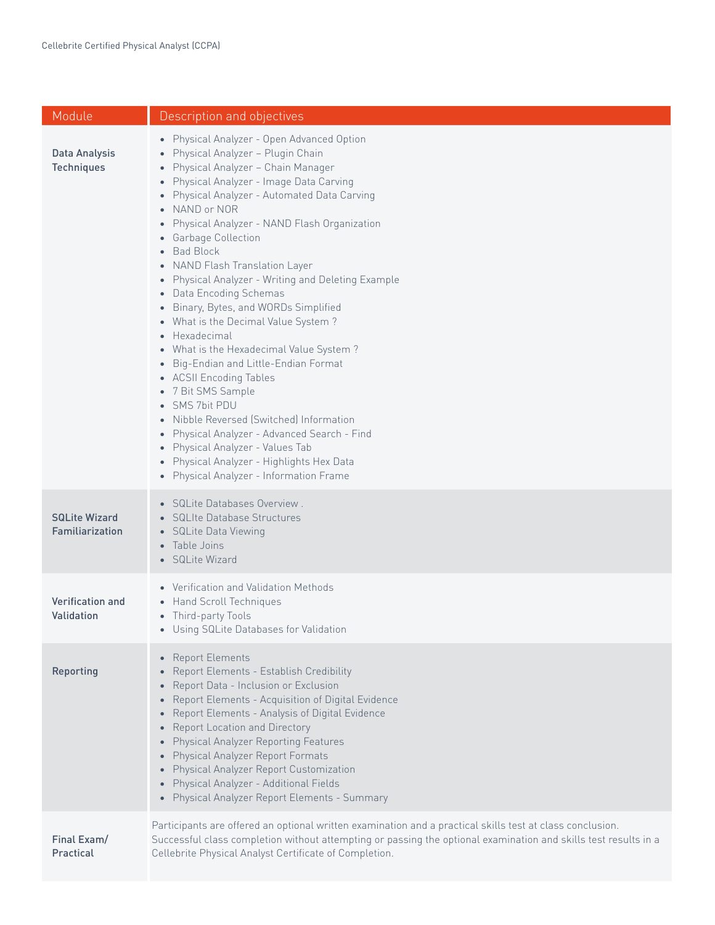| Module                                  | Description and objectives                                                                                                                                                                                                                                                                                                                                                                                                                                                                                                                                                                                                                                                                                                                                                                                                                                                                                                    |
|-----------------------------------------|-------------------------------------------------------------------------------------------------------------------------------------------------------------------------------------------------------------------------------------------------------------------------------------------------------------------------------------------------------------------------------------------------------------------------------------------------------------------------------------------------------------------------------------------------------------------------------------------------------------------------------------------------------------------------------------------------------------------------------------------------------------------------------------------------------------------------------------------------------------------------------------------------------------------------------|
| Data Analysis<br><b>Techniques</b>      | • Physical Analyzer - Open Advanced Option<br>Physical Analyzer - Plugin Chain<br>• Physical Analyzer - Chain Manager<br>• Physical Analyzer - Image Data Carving<br>• Physical Analyzer - Automated Data Carving<br>• NAND or NOR<br>• Physical Analyzer - NAND Flash Organization<br>• Garbage Collection<br>• Bad Block<br>• NAND Flash Translation Layer<br>• Physical Analyzer - Writing and Deleting Example<br>• Data Encoding Schemas<br>• Binary, Bytes, and WORDs Simplified<br>• What is the Decimal Value System?<br>• Hexadecimal<br>• What is the Hexadecimal Value System?<br>• Big-Endian and Little-Endian Format<br>• ACSII Encoding Tables<br>• 7 Bit SMS Sample<br>• SMS 7bit PDU<br>• Nibble Reversed (Switched) Information<br>• Physical Analyzer - Advanced Search - Find<br>• Physical Analyzer - Values Tab<br>• Physical Analyzer - Highlights Hex Data<br>• Physical Analyzer - Information Frame |
| <b>SQLite Wizard</b><br>Familiarization | • SQLite Databases Overview.<br>• SQLIte Database Structures<br>• SQLite Data Viewing<br>• Table Joins<br>• SQLite Wizard                                                                                                                                                                                                                                                                                                                                                                                                                                                                                                                                                                                                                                                                                                                                                                                                     |
| Verification and<br>Validation          | • Verification and Validation Methods<br>• Hand Scroll Techniques<br>• Third-party Tools<br>• Using SQLite Databases for Validation                                                                                                                                                                                                                                                                                                                                                                                                                                                                                                                                                                                                                                                                                                                                                                                           |
| Reporting                               | • Report Elements<br>• Report Elements - Establish Credibility<br>• Report Data - Inclusion or Exclusion<br>• Report Elements - Acquisition of Digital Evidence<br>• Report Elements - Analysis of Digital Evidence<br>• Report Location and Directory<br>• Physical Analyzer Reporting Features<br>• Physical Analyzer Report Formats<br>• Physical Analyzer Report Customization<br>• Physical Analyzer - Additional Fields<br>• Physical Analyzer Report Elements - Summary                                                                                                                                                                                                                                                                                                                                                                                                                                                |
| Final Exam/<br>Practical                | Participants are offered an optional written examination and a practical skills test at class conclusion.<br>Successful class completion without attempting or passing the optional examination and skills test results in a<br>Cellebrite Physical Analyst Certificate of Completion.                                                                                                                                                                                                                                                                                                                                                                                                                                                                                                                                                                                                                                        |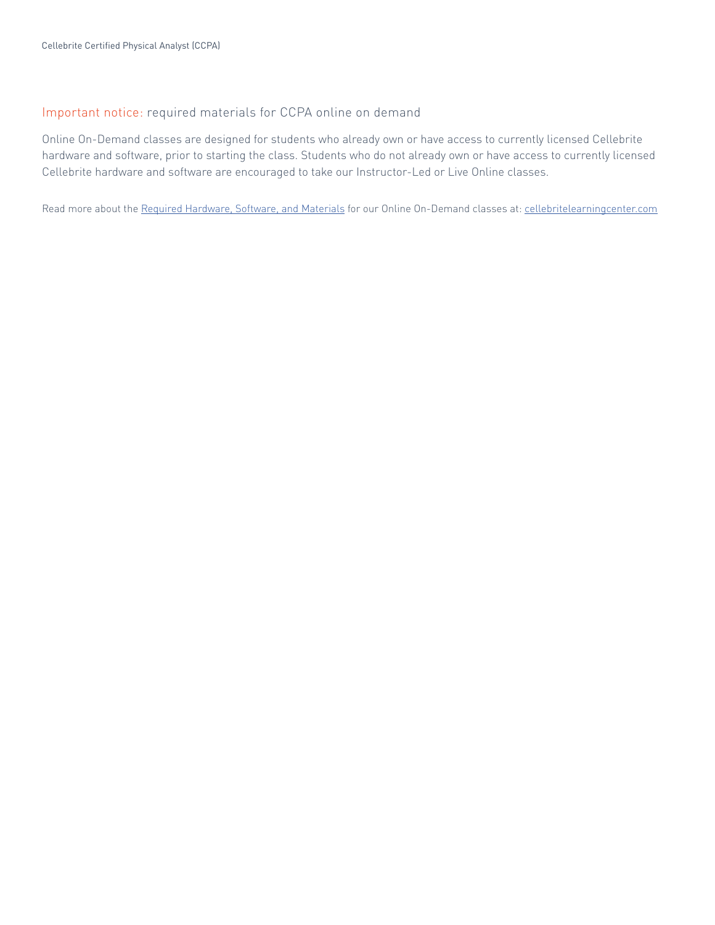#### Important notice: required materials for CCPA online on demand

Online On-Demand classes are designed for students who already own or have access to currently licensed Cellebrite hardware and software, prior to starting the class. Students who do not already own or have access to currently licensed Cellebrite hardware and software are encouraged to take our Instructor-Led or Live Online classes.

Read more about the Required Hardware, Software, and Materials for our Online On-Demand classes at: cellebritelearningcenter.com